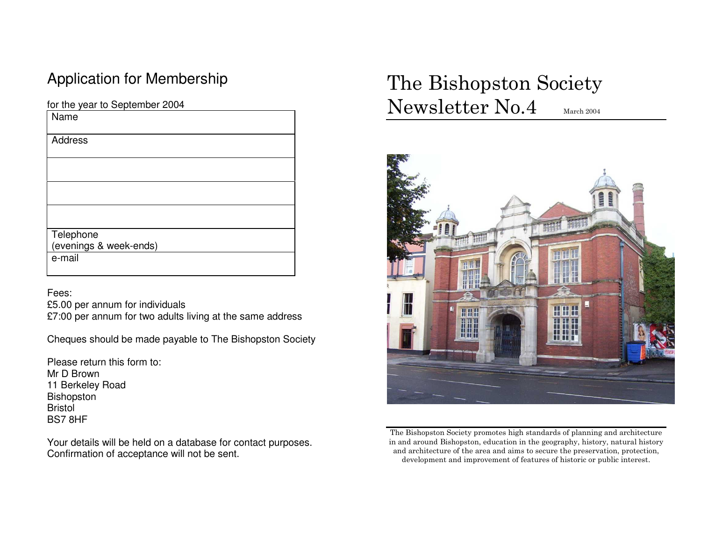## Application for Membership

for the year to September 2004

| Name                   |
|------------------------|
| Address                |
|                        |
|                        |
|                        |
| Telephone              |
| (evenings & week-ends) |
| e-mail                 |
|                        |

Fees:

 £5.00 per annum for individuals £7:00 per annum for two adults living at the same address

Cheques should be made payable to The Bishopston Society

Please return this form to: Mr D Brown 11 Berkeley Road Bishopston Bristol BS7 8HF

Your details will be held on a database for contact purposes. Confirmation of acceptance will not be sent.

# The Bishopston Society Newsletter No.4 March 2004



The Bishopston Society promotes high standards of planning and architecture in and around Bishopston, education in the geography, history, natural history and architecture of the area and aims to secure the preservation, protection, development and improvement of features of historic or public interest.